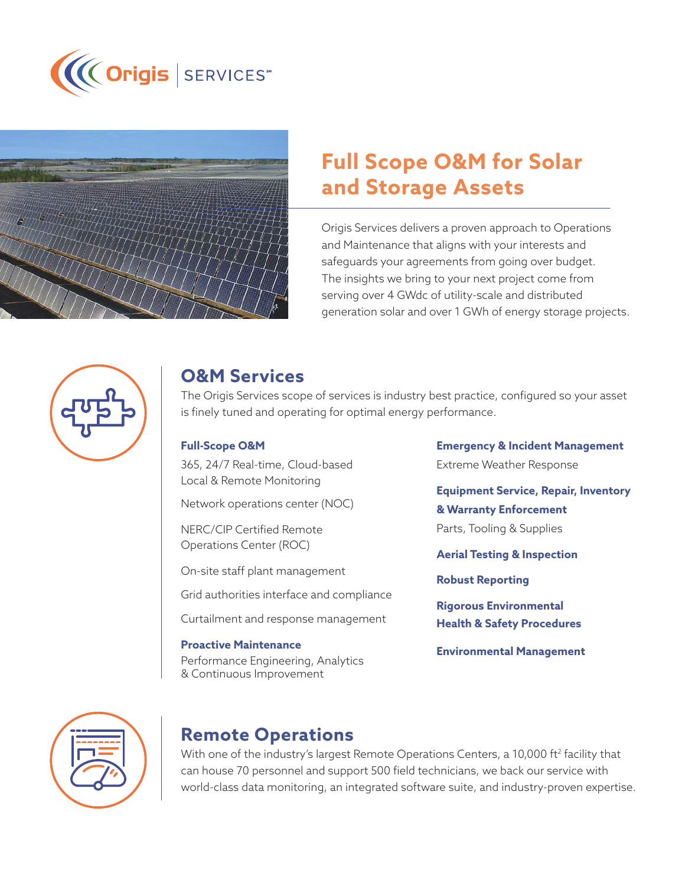



# **Full Scope O&M for Solar and Storage Assets**

Origis Services delivers a proven approach to Operations and Maintenance that aligns with your interests and safeguards your agreements from going over budget. The insights we bring to your next project come from serving over 4 GWdc of utility-scale and distributed generation solar and over 1 GWh of energy storage projects.



#### **O&M Services**

The Origis Services scope of services is industry best practice, configured so your asset is finely tuned and operating for optimal energy performance.

#### **Full-Scope O&M**

365, 24/7 Real-time, Cloud-based Local & Remote Monitoring

Network operations center (NOC)

NERC/CIP Certified Remote Operations Center (ROC)

On-site staff plant management

Grid authorities interface and compliance

Curtailment and response management

#### **Proactive Maintenance**

Performance Engineering, Analytics & Continuous Improvement

**Emergency & Incident Management** Extreme Weather Response

**Equipment Service, Repair, Inventory & Warranty Enforcement** Parts, Tooling & Supplies

**Aerial Testing & Inspection**

**Robust Reporting**

**Rigorous Environmental Health & Safety Procedures**

**Environmental Management**



#### **Remote Operations**

With one of the industry's largest Remote Operations Centers, a 10,000 ft<sup>2</sup> facility that can house 70 personnel and support 500 field technicians, we back our service with world-class data monitoring, an integrated software suite, and industry-proven expertise.